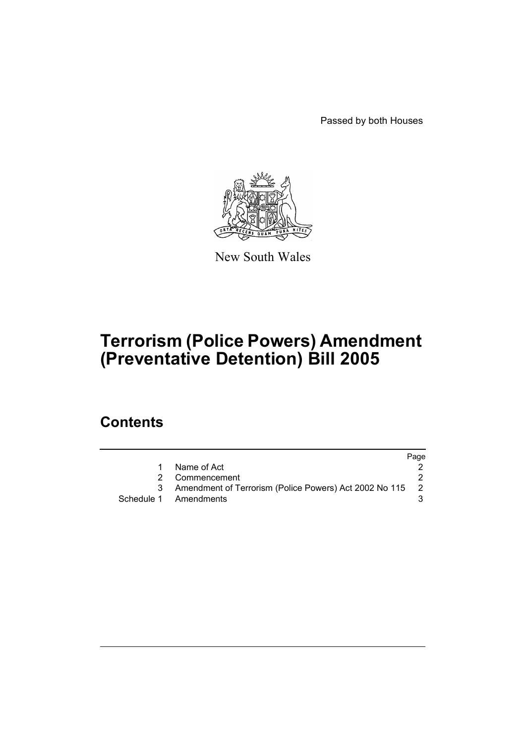Passed by both Houses



New South Wales

# **Terrorism (Police Powers) Amendment (Preventative Detention) Bill 2005**

# **Contents**

|                                                          | Page |
|----------------------------------------------------------|------|
| Name of Act                                              |      |
| 2 Commencement                                           |      |
| Amendment of Terrorism (Police Powers) Act 2002 No 115 2 |      |
| Schedule 1 Amendments                                    |      |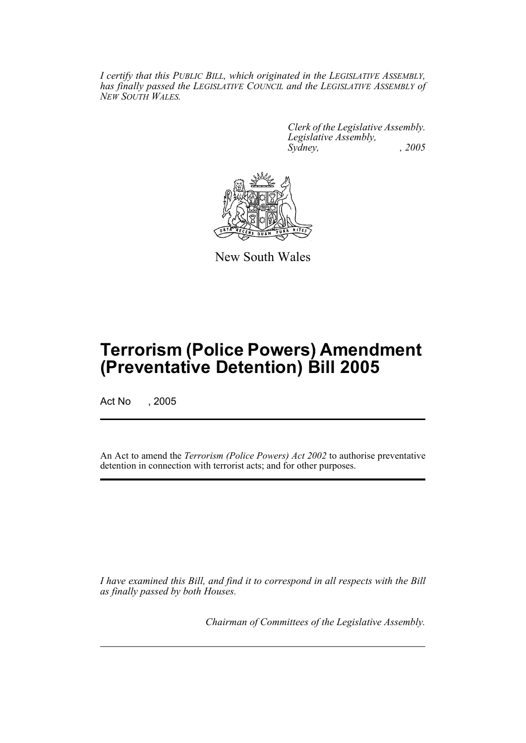*I certify that this PUBLIC BILL, which originated in the LEGISLATIVE ASSEMBLY, has finally passed the LEGISLATIVE COUNCIL and the LEGISLATIVE ASSEMBLY of NEW SOUTH WALES.*

> *Clerk of the Legislative Assembly. Legislative Assembly, Sydney, , 2005*



New South Wales

# **Terrorism (Police Powers) Amendment (Preventative Detention) Bill 2005**

Act No , 2005

An Act to amend the *Terrorism (Police Powers) Act 2002* to authorise preventative detention in connection with terrorist acts; and for other purposes.

*I have examined this Bill, and find it to correspond in all respects with the Bill as finally passed by both Houses.*

*Chairman of Committees of the Legislative Assembly.*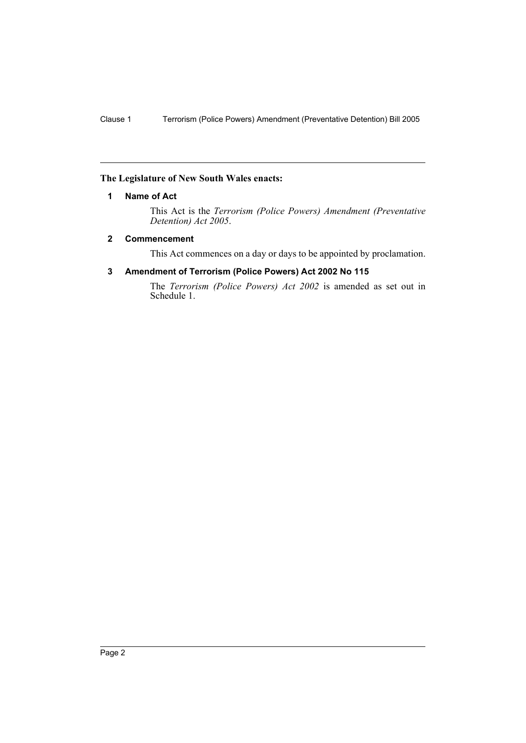## **The Legislature of New South Wales enacts:**

## **1 Name of Act**

This Act is the *Terrorism (Police Powers) Amendment (Preventative Detention) Act 2005*.

## **2 Commencement**

This Act commences on a day or days to be appointed by proclamation.

# **3 Amendment of Terrorism (Police Powers) Act 2002 No 115**

The *Terrorism (Police Powers) Act 2002* is amended as set out in Schedule 1.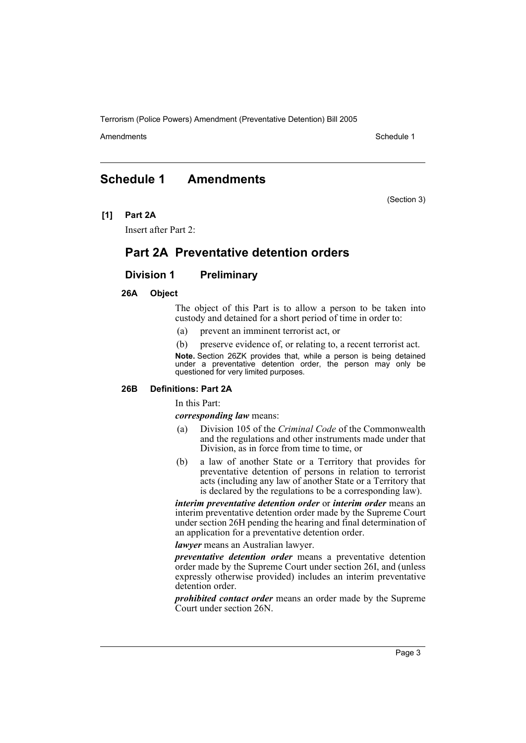Amendments **Amendments** Schedule 1

(Section 3)

# **Schedule 1 Amendments**

**[1] Part 2A**

Insert after Part 2:

# **Part 2A Preventative detention orders**

## **Division 1 Preliminary**

#### **26A Object**

The object of this Part is to allow a person to be taken into custody and detained for a short period of time in order to:

- (a) prevent an imminent terrorist act, or
- (b) preserve evidence of, or relating to, a recent terrorist act.

**Note.** Section 26ZK provides that, while a person is being detained under a preventative detention order, the person may only be questioned for very limited purposes.

#### **26B Definitions: Part 2A**

In this Part:

*corresponding law* means:

- (a) Division 105 of the *Criminal Code* of the Commonwealth and the regulations and other instruments made under that Division, as in force from time to time, or
- (b) a law of another State or a Territory that provides for preventative detention of persons in relation to terrorist acts (including any law of another State or a Territory that is declared by the regulations to be a corresponding law).

*interim preventative detention order* or *interim order* means an interim preventative detention order made by the Supreme Court under section 26H pending the hearing and final determination of an application for a preventative detention order.

*lawyer* means an Australian lawyer.

*preventative detention order* means a preventative detention order made by the Supreme Court under section 26I, and (unless expressly otherwise provided) includes an interim preventative detention order.

*prohibited contact order* means an order made by the Supreme Court under section 26N.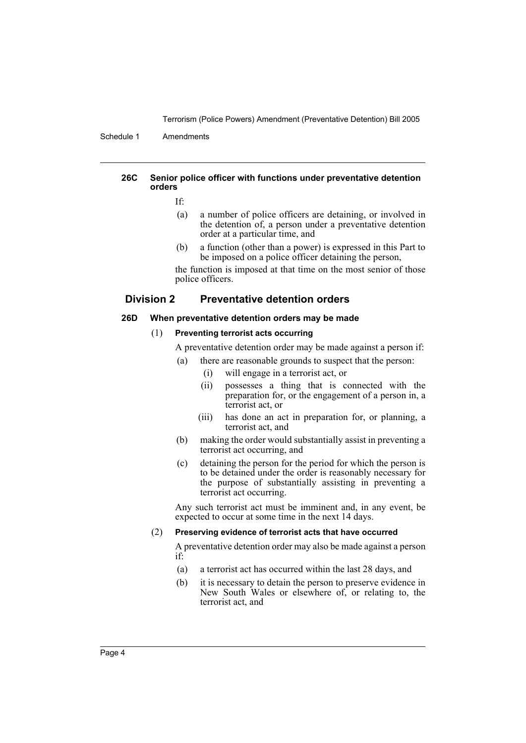Schedule 1 Amendments

#### **26C Senior police officer with functions under preventative detention orders**

If:

- (a) a number of police officers are detaining, or involved in the detention of, a person under a preventative detention order at a particular time, and
- (b) a function (other than a power) is expressed in this Part to be imposed on a police officer detaining the person,

the function is imposed at that time on the most senior of those police officers.

## **Division 2 Preventative detention orders**

#### **26D When preventative detention orders may be made**

#### (1) **Preventing terrorist acts occurring**

A preventative detention order may be made against a person if:

- (a) there are reasonable grounds to suspect that the person:
	- (i) will engage in a terrorist act, or
	- (ii) possesses a thing that is connected with the preparation for, or the engagement of a person in, a terrorist act, or
	- (iii) has done an act in preparation for, or planning, a terrorist act, and
- (b) making the order would substantially assist in preventing a terrorist act occurring, and
- (c) detaining the person for the period for which the person is to be detained under the order is reasonably necessary for the purpose of substantially assisting in preventing a terrorist act occurring.

Any such terrorist act must be imminent and, in any event, be expected to occur at some time in the next 14 days.

#### (2) **Preserving evidence of terrorist acts that have occurred**

A preventative detention order may also be made against a person if:

- (a) a terrorist act has occurred within the last 28 days, and
- (b) it is necessary to detain the person to preserve evidence in New South Wales or elsewhere of, or relating to, the terrorist act, and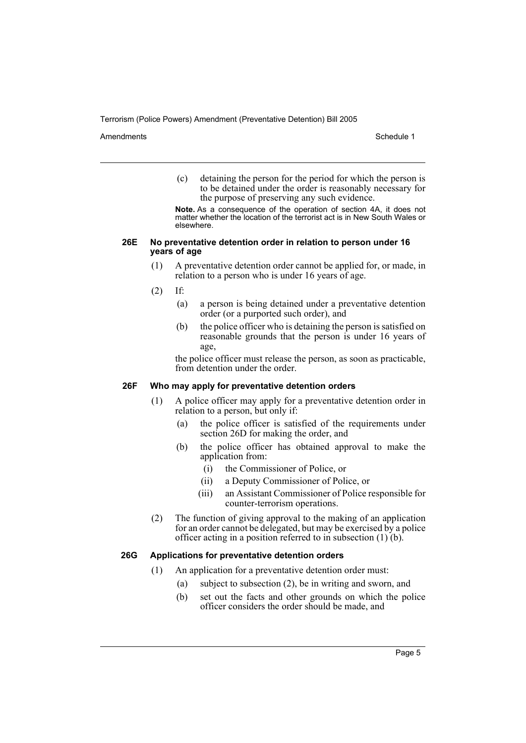Amendments **Amendments** Schedule 1

(c) detaining the person for the period for which the person is to be detained under the order is reasonably necessary for the purpose of preserving any such evidence.

**Note.** As a consequence of the operation of section 4A, it does not matter whether the location of the terrorist act is in New South Wales or elsewhere.

#### **26E No preventative detention order in relation to person under 16 years of age**

- (1) A preventative detention order cannot be applied for, or made, in relation to a person who is under 16 years of age.
- (2) If:
	- (a) a person is being detained under a preventative detention order (or a purported such order), and
	- (b) the police officer who is detaining the person is satisfied on reasonable grounds that the person is under 16 years of age,

the police officer must release the person, as soon as practicable, from detention under the order.

#### **26F Who may apply for preventative detention orders**

- (1) A police officer may apply for a preventative detention order in relation to a person, but only if:
	- (a) the police officer is satisfied of the requirements under section 26D for making the order, and
	- (b) the police officer has obtained approval to make the application from:
		- (i) the Commissioner of Police, or
		- (ii) a Deputy Commissioner of Police, or
		- (iii) an Assistant Commissioner of Police responsible for counter-terrorism operations.
- (2) The function of giving approval to the making of an application for an order cannot be delegated, but may be exercised by a police officer acting in a position referred to in subsection  $(1)$   $(b)$ .

## **26G Applications for preventative detention orders**

- (1) An application for a preventative detention order must:
	- (a) subject to subsection (2), be in writing and sworn, and
	- (b) set out the facts and other grounds on which the police officer considers the order should be made, and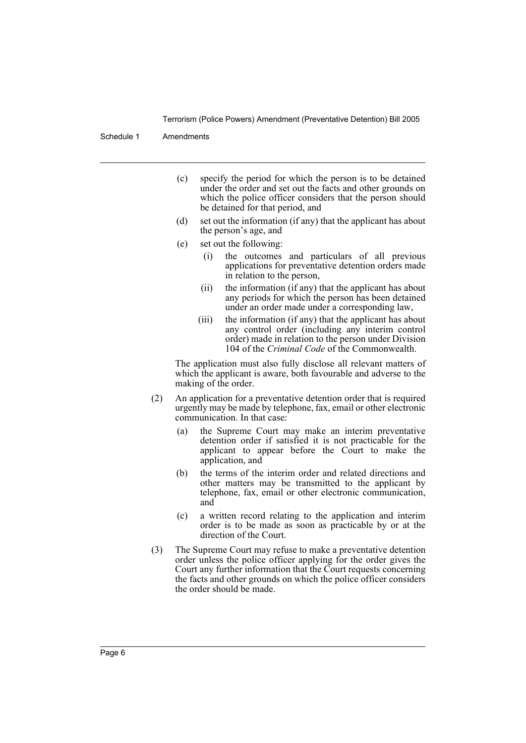Schedule 1 Amendments

- (c) specify the period for which the person is to be detained under the order and set out the facts and other grounds on which the police officer considers that the person should be detained for that period, and
- (d) set out the information (if any) that the applicant has about the person's age, and
- (e) set out the following:
	- (i) the outcomes and particulars of all previous applications for preventative detention orders made in relation to the person,
	- (ii) the information (if any) that the applicant has about any periods for which the person has been detained under an order made under a corresponding law,
	- (iii) the information (if any) that the applicant has about any control order (including any interim control order) made in relation to the person under Division 104 of the *Criminal Code* of the Commonwealth.

The application must also fully disclose all relevant matters of which the applicant is aware, both favourable and adverse to the making of the order.

- (2) An application for a preventative detention order that is required urgently may be made by telephone, fax, email or other electronic communication. In that case:
	- (a) the Supreme Court may make an interim preventative detention order if satisfied it is not practicable for the applicant to appear before the Court to make the application, and
	- (b) the terms of the interim order and related directions and other matters may be transmitted to the applicant by telephone, fax, email or other electronic communication, and
	- (c) a written record relating to the application and interim order is to be made as soon as practicable by or at the direction of the Court.
- (3) The Supreme Court may refuse to make a preventative detention order unless the police officer applying for the order gives the Court any further information that the Court requests concerning the facts and other grounds on which the police officer considers the order should be made.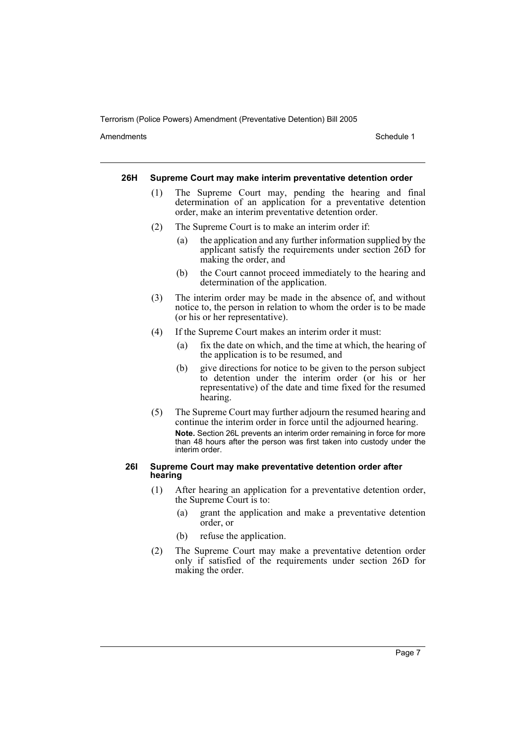Amendments **Amendments** Schedule 1

#### **26H Supreme Court may make interim preventative detention order**

- (1) The Supreme Court may, pending the hearing and final determination of an application for a preventative detention order, make an interim preventative detention order.
- (2) The Supreme Court is to make an interim order if:
	- (a) the application and any further information supplied by the applicant satisfy the requirements under section 26D for making the order, and
	- (b) the Court cannot proceed immediately to the hearing and determination of the application.
- (3) The interim order may be made in the absence of, and without notice to, the person in relation to whom the order is to be made (or his or her representative).
- (4) If the Supreme Court makes an interim order it must:
	- (a) fix the date on which, and the time at which, the hearing of the application is to be resumed, and
	- (b) give directions for notice to be given to the person subject to detention under the interim order (or his or her representative) of the date and time fixed for the resumed hearing.
- (5) The Supreme Court may further adjourn the resumed hearing and continue the interim order in force until the adjourned hearing. **Note.** Section 26L prevents an interim order remaining in force for more than 48 hours after the person was first taken into custody under the interim order.

#### **26I Supreme Court may make preventative detention order after hearing**

- (1) After hearing an application for a preventative detention order, the Supreme Court is to:
	- (a) grant the application and make a preventative detention order, or
	- (b) refuse the application.
- (2) The Supreme Court may make a preventative detention order only if satisfied of the requirements under section 26D for making the order.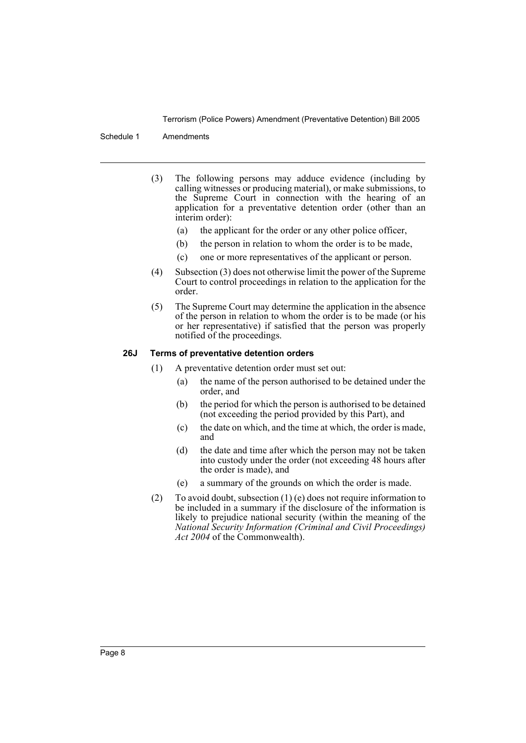Schedule 1 Amendments

- (3) The following persons may adduce evidence (including by calling witnesses or producing material), or make submissions, to the Supreme Court in connection with the hearing of an application for a preventative detention order (other than an interim order):
	- (a) the applicant for the order or any other police officer,
	- (b) the person in relation to whom the order is to be made,
	- (c) one or more representatives of the applicant or person.
- (4) Subsection (3) does not otherwise limit the power of the Supreme Court to control proceedings in relation to the application for the order.
- (5) The Supreme Court may determine the application in the absence of the person in relation to whom the order is to be made (or his or her representative) if satisfied that the person was properly notified of the proceedings.

## **26J Terms of preventative detention orders**

- (1) A preventative detention order must set out:
	- (a) the name of the person authorised to be detained under the order, and
	- (b) the period for which the person is authorised to be detained (not exceeding the period provided by this Part), and
	- (c) the date on which, and the time at which, the order is made, and
	- (d) the date and time after which the person may not be taken into custody under the order (not exceeding 48 hours after the order is made), and
	- (e) a summary of the grounds on which the order is made.
- (2) To avoid doubt, subsection  $(1)$  (e) does not require information to be included in a summary if the disclosure of the information is likely to prejudice national security (within the meaning of the *National Security Information (Criminal and Civil Proceedings) Act 2004* of the Commonwealth).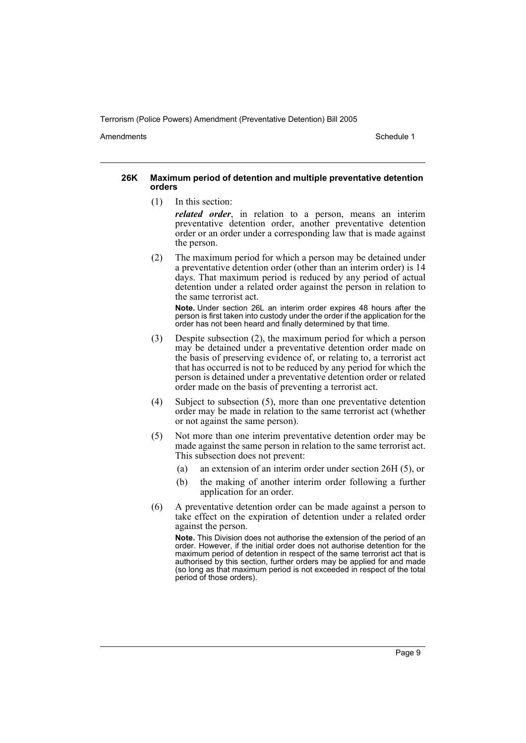Amendments **Amendments** Schedule 1

#### **26K Maximum period of detention and multiple preventative detention orders**

(1) In this section:

*related order*, in relation to a person, means an interim preventative detention order, another preventative detention order or an order under a corresponding law that is made against the person.

(2) The maximum period for which a person may be detained under a preventative detention order (other than an interim order) is 14 days. That maximum period is reduced by any period of actual detention under a related order against the person in relation to the same terrorist act.

**Note.** Under section 26L an interim order expires 48 hours after the person is first taken into custody under the order if the application for the order has not been heard and finally determined by that time.

- (3) Despite subsection (2), the maximum period for which a person may be detained under a preventative detention order made on the basis of preserving evidence of, or relating to, a terrorist act that has occurred is not to be reduced by any period for which the person is detained under a preventative detention order or related order made on the basis of preventing a terrorist act.
- (4) Subject to subsection (5), more than one preventative detention order may be made in relation to the same terrorist act (whether or not against the same person).
- (5) Not more than one interim preventative detention order may be made against the same person in relation to the same terrorist act. This subsection does not prevent:
	- (a) an extension of an interim order under section 26H (5), or
	- (b) the making of another interim order following a further application for an order.
- (6) A preventative detention order can be made against a person to take effect on the expiration of detention under a related order against the person.

**Note.** This Division does not authorise the extension of the period of an order. However, if the initial order does not authorise detention for the maximum period of detention in respect of the same terrorist act that is authorised by this section, further orders may be applied for and made (so long as that maximum period is not exceeded in respect of the total period of those orders).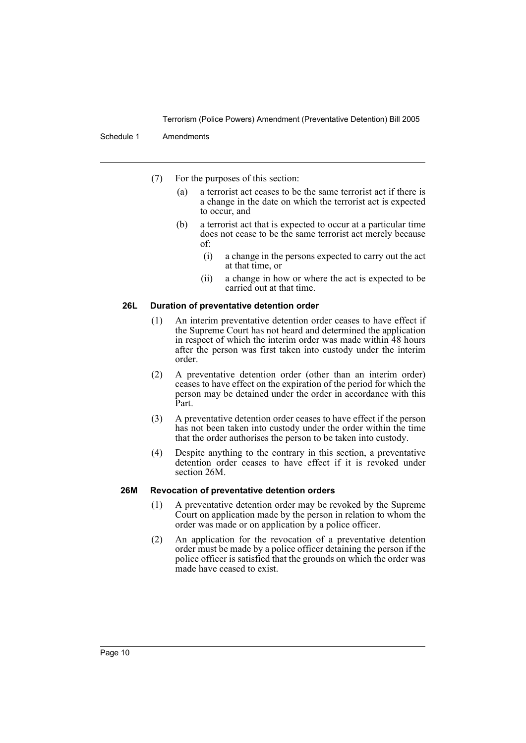#### Schedule 1 Amendments

- (7) For the purposes of this section:
	- (a) a terrorist act ceases to be the same terrorist act if there is a change in the date on which the terrorist act is expected to occur, and
	- (b) a terrorist act that is expected to occur at a particular time does not cease to be the same terrorist act merely because of:
		- (i) a change in the persons expected to carry out the act at that time, or
		- (ii) a change in how or where the act is expected to be carried out at that time.

#### **26L Duration of preventative detention order**

- (1) An interim preventative detention order ceases to have effect if the Supreme Court has not heard and determined the application in respect of which the interim order was made within 48 hours after the person was first taken into custody under the interim order.
- (2) A preventative detention order (other than an interim order) ceases to have effect on the expiration of the period for which the person may be detained under the order in accordance with this Part.
- (3) A preventative detention order ceases to have effect if the person has not been taken into custody under the order within the time that the order authorises the person to be taken into custody.
- (4) Despite anything to the contrary in this section, a preventative detention order ceases to have effect if it is revoked under section 26M.

#### **26M Revocation of preventative detention orders**

- (1) A preventative detention order may be revoked by the Supreme Court on application made by the person in relation to whom the order was made or on application by a police officer.
- (2) An application for the revocation of a preventative detention order must be made by a police officer detaining the person if the police officer is satisfied that the grounds on which the order was made have ceased to exist.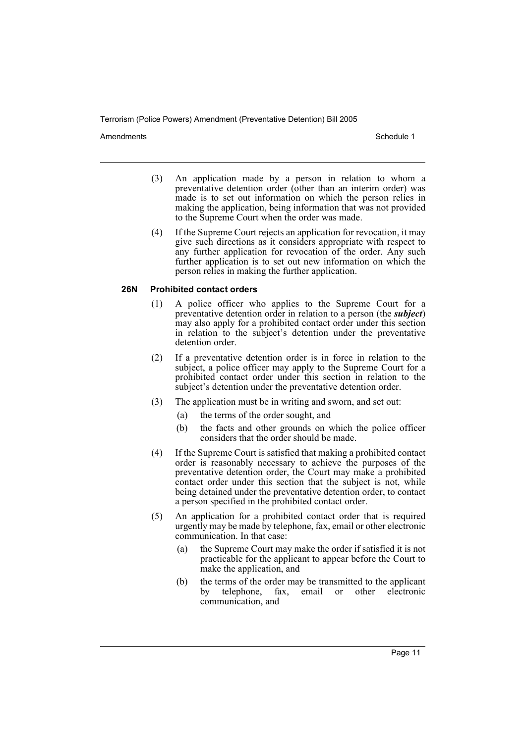Amendments **Amendments** Schedule 1

- (3) An application made by a person in relation to whom a preventative detention order (other than an interim order) was made is to set out information on which the person relies in making the application, being information that was not provided to the Supreme Court when the order was made.
- (4) If the Supreme Court rejects an application for revocation, it may give such directions as it considers appropriate with respect to any further application for revocation of the order. Any such further application is to set out new information on which the person relies in making the further application.

## **26N Prohibited contact orders**

- (1) A police officer who applies to the Supreme Court for a preventative detention order in relation to a person (the *subject*) may also apply for a prohibited contact order under this section in relation to the subject's detention under the preventative detention order.
- (2) If a preventative detention order is in force in relation to the subject, a police officer may apply to the Supreme Court for a prohibited contact order under this section in relation to the subject's detention under the preventative detention order.
- (3) The application must be in writing and sworn, and set out:
	- (a) the terms of the order sought, and
	- (b) the facts and other grounds on which the police officer considers that the order should be made.
- (4) If the Supreme Court is satisfied that making a prohibited contact order is reasonably necessary to achieve the purposes of the preventative detention order, the Court may make a prohibited contact order under this section that the subject is not, while being detained under the preventative detention order, to contact a person specified in the prohibited contact order.
- (5) An application for a prohibited contact order that is required urgently may be made by telephone, fax, email or other electronic communication. In that case:
	- (a) the Supreme Court may make the order if satisfied it is not practicable for the applicant to appear before the Court to make the application, and
	- (b) the terms of the order may be transmitted to the applicant by telephone, fax, email or other electronic communication, and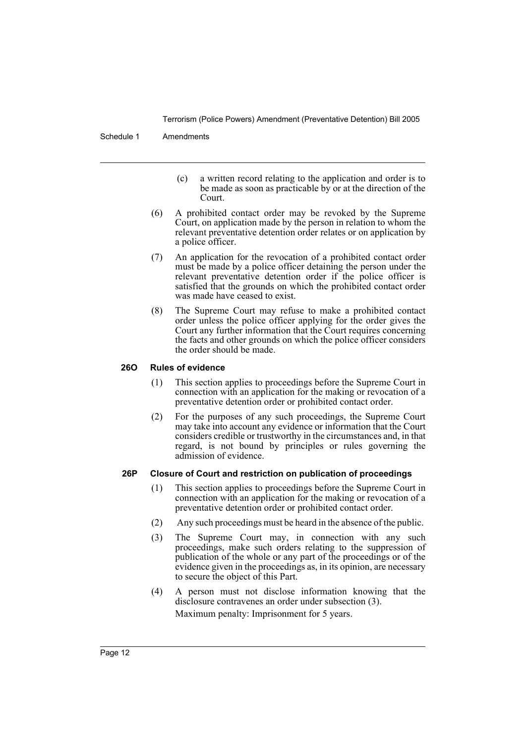Schedule 1 Amendments

- (c) a written record relating to the application and order is to be made as soon as practicable by or at the direction of the Court.
- (6) A prohibited contact order may be revoked by the Supreme Court, on application made by the person in relation to whom the relevant preventative detention order relates or on application by a police officer.
- (7) An application for the revocation of a prohibited contact order must be made by a police officer detaining the person under the relevant preventative detention order if the police officer is satisfied that the grounds on which the prohibited contact order was made have ceased to exist.
- (8) The Supreme Court may refuse to make a prohibited contact order unless the police officer applying for the order gives the Court any further information that the Court requires concerning the facts and other grounds on which the police officer considers the order should be made.

## **26O Rules of evidence**

- (1) This section applies to proceedings before the Supreme Court in connection with an application for the making or revocation of a preventative detention order or prohibited contact order.
- (2) For the purposes of any such proceedings, the Supreme Court may take into account any evidence or information that the Court considers credible or trustworthy in the circumstances and, in that regard, is not bound by principles or rules governing the admission of evidence.

## **26P Closure of Court and restriction on publication of proceedings**

- (1) This section applies to proceedings before the Supreme Court in connection with an application for the making or revocation of a preventative detention order or prohibited contact order.
- (2) Any such proceedings must be heard in the absence of the public.
- (3) The Supreme Court may, in connection with any such proceedings, make such orders relating to the suppression of publication of the whole or any part of the proceedings or of the evidence given in the proceedings as, in its opinion, are necessary to secure the object of this Part.
- (4) A person must not disclose information knowing that the disclosure contravenes an order under subsection (3).

Maximum penalty: Imprisonment for 5 years.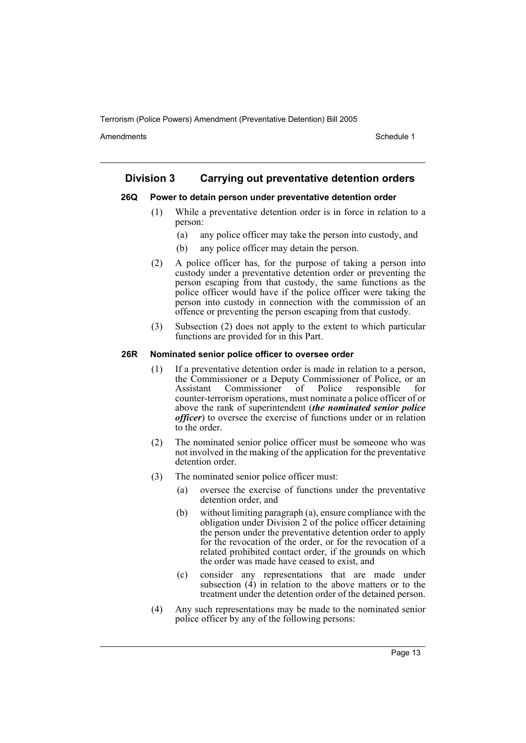Amendments **Amendments** Schedule 1

## **Division 3 Carrying out preventative detention orders**

### **26Q Power to detain person under preventative detention order**

- (1) While a preventative detention order is in force in relation to a person:
	- (a) any police officer may take the person into custody, and
	- (b) any police officer may detain the person.
- (2) A police officer has, for the purpose of taking a person into custody under a preventative detention order or preventing the person escaping from that custody, the same functions as the police officer would have if the police officer were taking the person into custody in connection with the commission of an offence or preventing the person escaping from that custody.
- (3) Subsection (2) does not apply to the extent to which particular functions are provided for in this Part.

#### **26R Nominated senior police officer to oversee order**

- (1) If a preventative detention order is made in relation to a person, the Commissioner or a Deputy Commissioner of Police, or an Commissioner of Police responsible for counter-terrorism operations, must nominate a police officer of or above the rank of superintendent (*the nominated senior police officer*) to oversee the exercise of functions under or in relation to the order.
- (2) The nominated senior police officer must be someone who was not involved in the making of the application for the preventative detention order.
- (3) The nominated senior police officer must:
	- (a) oversee the exercise of functions under the preventative detention order, and
	- (b) without limiting paragraph (a), ensure compliance with the obligation under Division 2 of the police officer detaining the person under the preventative detention order to apply for the revocation of the order, or for the revocation of a related prohibited contact order, if the grounds on which the order was made have ceased to exist, and
	- (c) consider any representations that are made under subsection  $(\vec{4})$  in relation to the above matters or to the treatment under the detention order of the detained person.
- (4) Any such representations may be made to the nominated senior police officer by any of the following persons: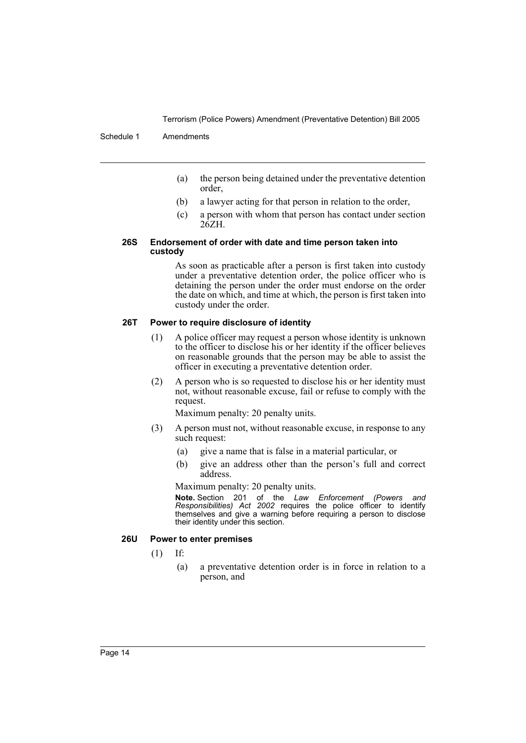#### Schedule 1 Amendments

- (a) the person being detained under the preventative detention order,
- (b) a lawyer acting for that person in relation to the order,
- (c) a person with whom that person has contact under section 26ZH.

#### **26S Endorsement of order with date and time person taken into custody**

As soon as practicable after a person is first taken into custody under a preventative detention order, the police officer who is detaining the person under the order must endorse on the order the date on which, and time at which, the person is first taken into custody under the order.

#### **26T Power to require disclosure of identity**

- (1) A police officer may request a person whose identity is unknown to the officer to disclose his or her identity if the officer believes on reasonable grounds that the person may be able to assist the officer in executing a preventative detention order.
- (2) A person who is so requested to disclose his or her identity must not, without reasonable excuse, fail or refuse to comply with the request.

Maximum penalty: 20 penalty units.

- (3) A person must not, without reasonable excuse, in response to any such request:
	- (a) give a name that is false in a material particular, or
	- (b) give an address other than the person's full and correct address.

Maximum penalty: 20 penalty units.

**Note.** Section 201 of the *Law Enforcement (Powers and Responsibilities) Act 2002* requires the police officer to identify themselves and give a warning before requiring a person to disclose their identity under this section.

#### **26U Power to enter premises**

- (1) If:
	- (a) a preventative detention order is in force in relation to a person, and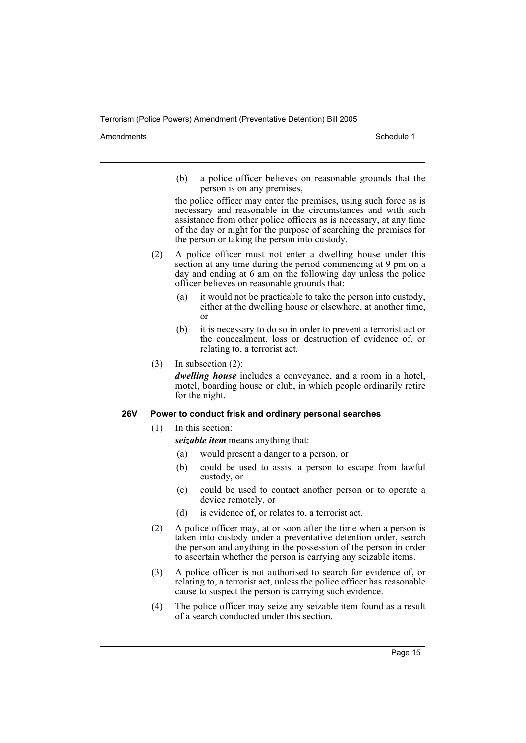Amendments **Amendments** Schedule 1

(b) a police officer believes on reasonable grounds that the person is on any premises,

the police officer may enter the premises, using such force as is necessary and reasonable in the circumstances and with such assistance from other police officers as is necessary, at any time of the day or night for the purpose of searching the premises for the person or taking the person into custody.

- (2) A police officer must not enter a dwelling house under this section at any time during the period commencing at 9 pm on a day and ending at 6 am on the following day unless the police officer believes on reasonable grounds that:
	- (a) it would not be practicable to take the person into custody, either at the dwelling house or elsewhere, at another time, or
	- (b) it is necessary to do so in order to prevent a terrorist act or the concealment, loss or destruction of evidence of, or relating to, a terrorist act.
- (3) In subsection (2):

*dwelling house* includes a conveyance, and a room in a hotel, motel, boarding house or club, in which people ordinarily retire for the night.

## **26V Power to conduct frisk and ordinary personal searches**

(1) In this section:

*seizable item* means anything that:

- (a) would present a danger to a person, or
- (b) could be used to assist a person to escape from lawful custody, or
- (c) could be used to contact another person or to operate a device remotely, or
- (d) is evidence of, or relates to, a terrorist act.
- (2) A police officer may, at or soon after the time when a person is taken into custody under a preventative detention order, search the person and anything in the possession of the person in order to ascertain whether the person is carrying any seizable items.
- (3) A police officer is not authorised to search for evidence of, or relating to, a terrorist act, unless the police officer has reasonable cause to suspect the person is carrying such evidence.
- (4) The police officer may seize any seizable item found as a result of a search conducted under this section.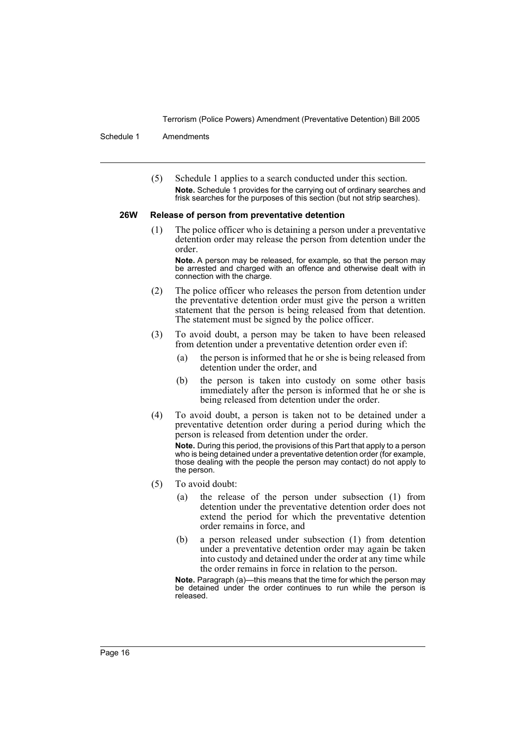Schedule 1 Amendments

(5) Schedule 1 applies to a search conducted under this section. **Note.** Schedule 1 provides for the carrying out of ordinary searches and frisk searches for the purposes of this section (but not strip searches).

#### **26W Release of person from preventative detention**

(1) The police officer who is detaining a person under a preventative detention order may release the person from detention under the order.

**Note.** A person may be released, for example, so that the person may be arrested and charged with an offence and otherwise dealt with in connection with the charge.

- (2) The police officer who releases the person from detention under the preventative detention order must give the person a written statement that the person is being released from that detention. The statement must be signed by the police officer.
- (3) To avoid doubt, a person may be taken to have been released from detention under a preventative detention order even if:
	- (a) the person is informed that he or she is being released from detention under the order, and
	- (b) the person is taken into custody on some other basis immediately after the person is informed that he or she is being released from detention under the order.
- (4) To avoid doubt, a person is taken not to be detained under a preventative detention order during a period during which the person is released from detention under the order.

**Note.** During this period, the provisions of this Part that apply to a person who is being detained under a preventative detention order (for example, those dealing with the people the person may contact) do not apply to the person.

- (5) To avoid doubt:
	- (a) the release of the person under subsection (1) from detention under the preventative detention order does not extend the period for which the preventative detention order remains in force, and
	- (b) a person released under subsection (1) from detention under a preventative detention order may again be taken into custody and detained under the order at any time while the order remains in force in relation to the person.

**Note.** Paragraph (a)—this means that the time for which the person may be detained under the order continues to run while the person is released.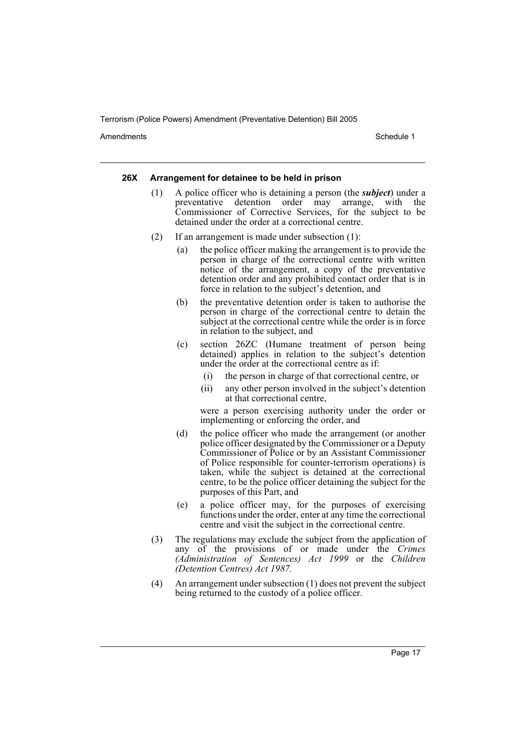Amendments **Amendments** Schedule 1

#### **26X Arrangement for detainee to be held in prison**

- (1) A police officer who is detaining a person (the *subject*) under a preventative detention order may arrange, with the Commissioner of Corrective Services, for the subject to be detained under the order at a correctional centre.
- (2) If an arrangement is made under subsection (1):
	- (a) the police officer making the arrangement is to provide the person in charge of the correctional centre with written notice of the arrangement, a copy of the preventative detention order and any prohibited contact order that is in force in relation to the subject's detention, and
	- (b) the preventative detention order is taken to authorise the person in charge of the correctional centre to detain the subject at the correctional centre while the order is in force in relation to the subject, and
	- (c) section 26ZC (Humane treatment of person being detained) applies in relation to the subject's detention under the order at the correctional centre as if:
		- (i) the person in charge of that correctional centre, or
		- (ii) any other person involved in the subject's detention at that correctional centre,

were a person exercising authority under the order or implementing or enforcing the order, and

- (d) the police officer who made the arrangement (or another police officer designated by the Commissioner or a Deputy Commissioner of Police or by an Assistant Commissioner of Police responsible for counter-terrorism operations) is taken, while the subject is detained at the correctional centre, to be the police officer detaining the subject for the purposes of this Part, and
- (e) a police officer may, for the purposes of exercising functions under the order, enter at any time the correctional centre and visit the subject in the correctional centre.
- (3) The regulations may exclude the subject from the application of any of the provisions of or made under the *Crimes (Administration of Sentences) Act 1999* or the *Children (Detention Centres) Act 1987.*
- (4) An arrangement under subsection (1) does not prevent the subject being returned to the custody of a police officer.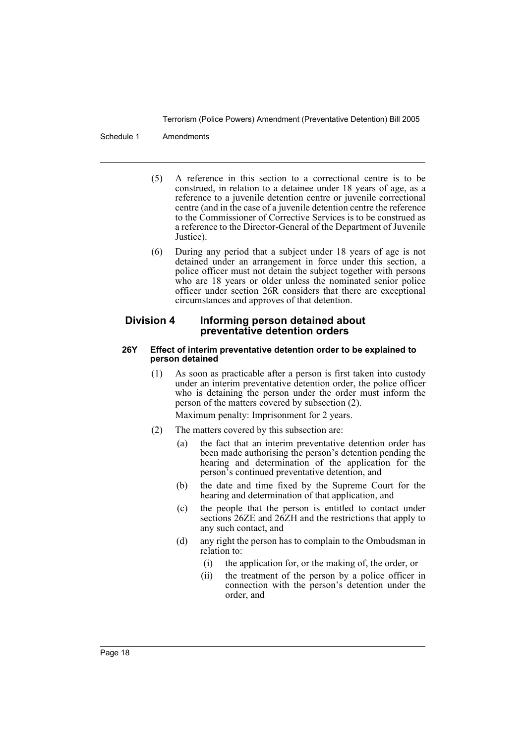#### Schedule 1 Amendments

- (5) A reference in this section to a correctional centre is to be construed, in relation to a detainee under 18 years of age, as a reference to a juvenile detention centre or juvenile correctional centre (and in the case of a juvenile detention centre the reference to the Commissioner of Corrective Services is to be construed as a reference to the Director-General of the Department of Juvenile Justice).
- (6) During any period that a subject under 18 years of age is not detained under an arrangement in force under this section, a police officer must not detain the subject together with persons who are 18 years or older unless the nominated senior police officer under section 26R considers that there are exceptional circumstances and approves of that detention.

## **Division 4 Informing person detained about preventative detention orders**

#### **26Y Effect of interim preventative detention order to be explained to person detained**

(1) As soon as practicable after a person is first taken into custody under an interim preventative detention order, the police officer who is detaining the person under the order must inform the person of the matters covered by subsection (2).

Maximum penalty: Imprisonment for 2 years.

- (2) The matters covered by this subsection are:
	- (a) the fact that an interim preventative detention order has been made authorising the person's detention pending the hearing and determination of the application for the person's continued preventative detention, and
	- (b) the date and time fixed by the Supreme Court for the hearing and determination of that application, and
	- (c) the people that the person is entitled to contact under sections 26ZE and 26ZH and the restrictions that apply to any such contact, and
	- (d) any right the person has to complain to the Ombudsman in relation to:
		- (i) the application for, or the making of, the order, or
		- (ii) the treatment of the person by a police officer in connection with the person's detention under the order, and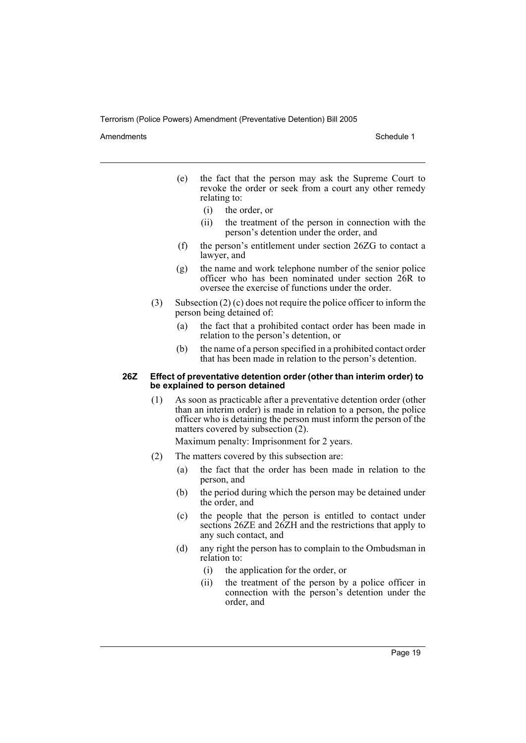Amendments **Amendments** Schedule 1

- (e) the fact that the person may ask the Supreme Court to revoke the order or seek from a court any other remedy relating to:
	- (i) the order, or
	- (ii) the treatment of the person in connection with the person's detention under the order, and
- (f) the person's entitlement under section 26ZG to contact a lawyer, and
- (g) the name and work telephone number of the senior police officer who has been nominated under section 26R to oversee the exercise of functions under the order.
- (3) Subsection (2) (c) does not require the police officer to inform the person being detained of:
	- (a) the fact that a prohibited contact order has been made in relation to the person's detention, or
	- (b) the name of a person specified in a prohibited contact order that has been made in relation to the person's detention.

#### **26Z Effect of preventative detention order (other than interim order) to be explained to person detained**

(1) As soon as practicable after a preventative detention order (other than an interim order) is made in relation to a person, the police officer who is detaining the person must inform the person of the matters covered by subsection (2).

Maximum penalty: Imprisonment for 2 years.

- (2) The matters covered by this subsection are:
	- (a) the fact that the order has been made in relation to the person, and
	- (b) the period during which the person may be detained under the order, and
	- (c) the people that the person is entitled to contact under sections 26ZE and 26ZH and the restrictions that apply to any such contact, and
	- (d) any right the person has to complain to the Ombudsman in relation to:
		- (i) the application for the order, or
		- (ii) the treatment of the person by a police officer in connection with the person's detention under the order, and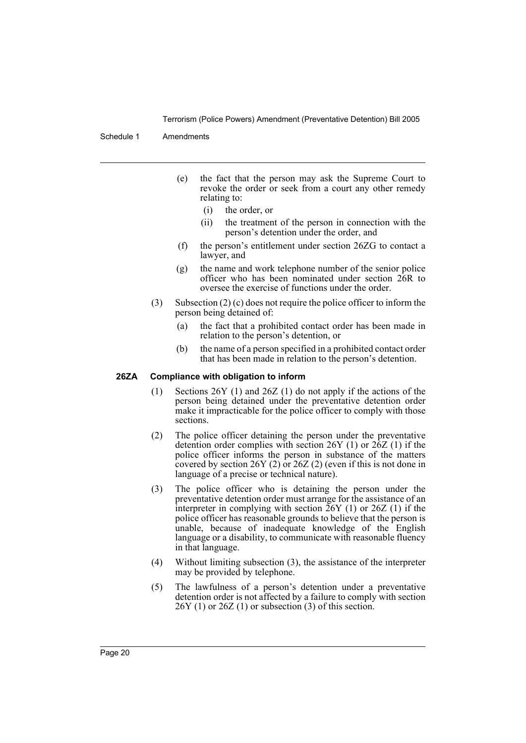Schedule 1 Amendments

- (e) the fact that the person may ask the Supreme Court to revoke the order or seek from a court any other remedy relating to:
	- (i) the order, or
	- (ii) the treatment of the person in connection with the person's detention under the order, and
- (f) the person's entitlement under section 26ZG to contact a lawyer, and
- (g) the name and work telephone number of the senior police officer who has been nominated under section 26R to oversee the exercise of functions under the order.
- (3) Subsection (2) (c) does not require the police officer to inform the person being detained of:
	- (a) the fact that a prohibited contact order has been made in relation to the person's detention, or
	- (b) the name of a person specified in a prohibited contact order that has been made in relation to the person's detention.

#### **26ZA Compliance with obligation to inform**

- (1) Sections 26Y (1) and 26Z (1) do not apply if the actions of the person being detained under the preventative detention order make it impracticable for the police officer to comply with those sections.
- (2) The police officer detaining the person under the preventative detention order complies with section 26Y (1) or 26Z (1) if the police officer informs the person in substance of the matters covered by section  $26Y(2)$  or  $26Z(2)$  (even if this is not done in language of a precise or technical nature).
- (3) The police officer who is detaining the person under the preventative detention order must arrange for the assistance of an interpreter in complying with section  $26Y(1)$  or  $26Z(1)$  if the police officer has reasonable grounds to believe that the person is unable, because of inadequate knowledge of the English language or a disability, to communicate with reasonable fluency in that language.
- (4) Without limiting subsection (3), the assistance of the interpreter may be provided by telephone.
- (5) The lawfulness of a person's detention under a preventative detention order is not affected by a failure to comply with section  $26Y(1)$  or  $26Z(1)$  or subsection (3) of this section.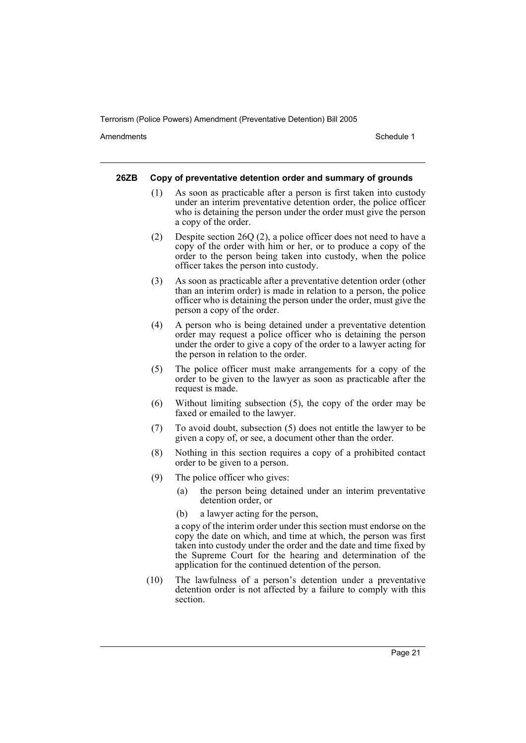Amendments **Amendments** Schedule 1

#### **26ZB Copy of preventative detention order and summary of grounds**

- (1) As soon as practicable after a person is first taken into custody under an interim preventative detention order, the police officer who is detaining the person under the order must give the person a copy of the order.
- (2) Despite section 26Q (2), a police officer does not need to have a copy of the order with him or her, or to produce a copy of the order to the person being taken into custody, when the police officer takes the person into custody.
- (3) As soon as practicable after a preventative detention order (other than an interim order) is made in relation to a person, the police officer who is detaining the person under the order, must give the person a copy of the order.
- (4) A person who is being detained under a preventative detention order may request a police officer who is detaining the person under the order to give a copy of the order to a lawyer acting for the person in relation to the order.
- (5) The police officer must make arrangements for a copy of the order to be given to the lawyer as soon as practicable after the request is made.
- (6) Without limiting subsection (5), the copy of the order may be faxed or emailed to the lawyer.
- (7) To avoid doubt, subsection (5) does not entitle the lawyer to be given a copy of, or see, a document other than the order.
- (8) Nothing in this section requires a copy of a prohibited contact order to be given to a person.
- (9) The police officer who gives:
	- (a) the person being detained under an interim preventative detention order, or
	- (b) a lawyer acting for the person,

a copy of the interim order under this section must endorse on the copy the date on which, and time at which, the person was first taken into custody under the order and the date and time fixed by the Supreme Court for the hearing and determination of the application for the continued detention of the person.

(10) The lawfulness of a person's detention under a preventative detention order is not affected by a failure to comply with this section.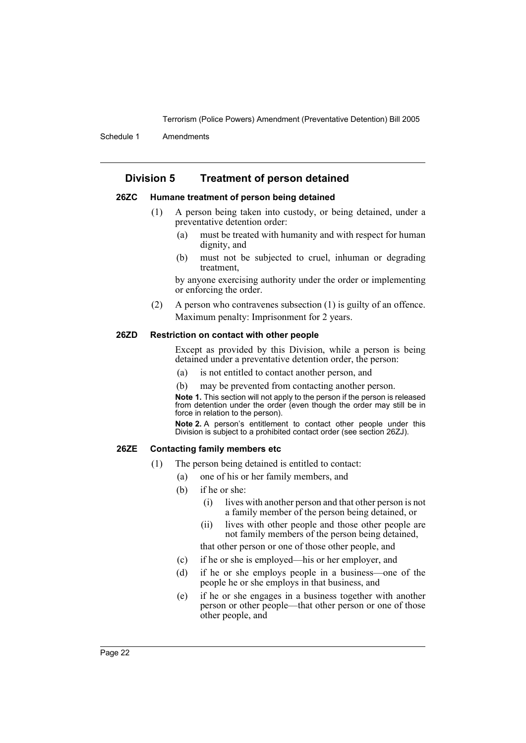Schedule 1 Amendments

## **Division 5 Treatment of person detained**

### **26ZC Humane treatment of person being detained**

- (1) A person being taken into custody, or being detained, under a preventative detention order:
	- (a) must be treated with humanity and with respect for human dignity, and
	- (b) must not be subjected to cruel, inhuman or degrading treatment,

by anyone exercising authority under the order or implementing or enforcing the order.

(2) A person who contravenes subsection (1) is guilty of an offence. Maximum penalty: Imprisonment for 2 years.

#### **26ZD Restriction on contact with other people**

Except as provided by this Division, while a person is being detained under a preventative detention order, the person:

- (a) is not entitled to contact another person, and
- (b) may be prevented from contacting another person.

**Note 1.** This section will not apply to the person if the person is released from detention under the order (even though the order may still be in force in relation to the person).

**Note 2.** A person's entitlement to contact other people under this Division is subject to a prohibited contact order (see section 26ZJ).

## **26ZE Contacting family members etc**

- (1) The person being detained is entitled to contact:
	- (a) one of his or her family members, and
		- (b) if he or she:
			- (i) lives with another person and that other person is not a family member of the person being detained, or
			- (ii) lives with other people and those other people are not family members of the person being detained,

that other person or one of those other people, and

- (c) if he or she is employed—his or her employer, and
- (d) if he or she employs people in a business—one of the people he or she employs in that business, and
- (e) if he or she engages in a business together with another person or other people—that other person or one of those other people, and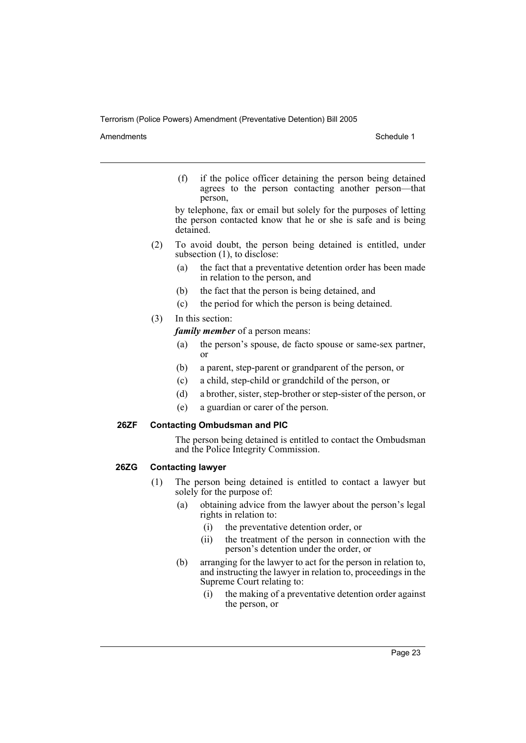Amendments **Schedule 1** and the set of the set of the set of the set of the set of the set of the set of the set of the set of the set of the set of the set of the set of the set of the set of the set of the set of the set

(f) if the police officer detaining the person being detained agrees to the person contacting another person—that person,

by telephone, fax or email but solely for the purposes of letting the person contacted know that he or she is safe and is being detained.

- (2) To avoid doubt, the person being detained is entitled, under subsection  $(1)$ , to disclose:
	- (a) the fact that a preventative detention order has been made in relation to the person, and
	- (b) the fact that the person is being detained, and
	- (c) the period for which the person is being detained.

## (3) In this section:

*family member* of a person means:

- (a) the person's spouse, de facto spouse or same-sex partner, or
- (b) a parent, step-parent or grandparent of the person, or
- (c) a child, step-child or grandchild of the person, or
- (d) a brother, sister, step-brother or step-sister of the person, or
- (e) a guardian or carer of the person.

## **26ZF Contacting Ombudsman and PIC**

The person being detained is entitled to contact the Ombudsman and the Police Integrity Commission.

## **26ZG Contacting lawyer**

- (1) The person being detained is entitled to contact a lawyer but solely for the purpose of:
	- (a) obtaining advice from the lawyer about the person's legal rights in relation to:
		- (i) the preventative detention order, or
		- (ii) the treatment of the person in connection with the person's detention under the order, or
	- (b) arranging for the lawyer to act for the person in relation to, and instructing the lawyer in relation to, proceedings in the Supreme Court relating to:
		- (i) the making of a preventative detention order against the person, or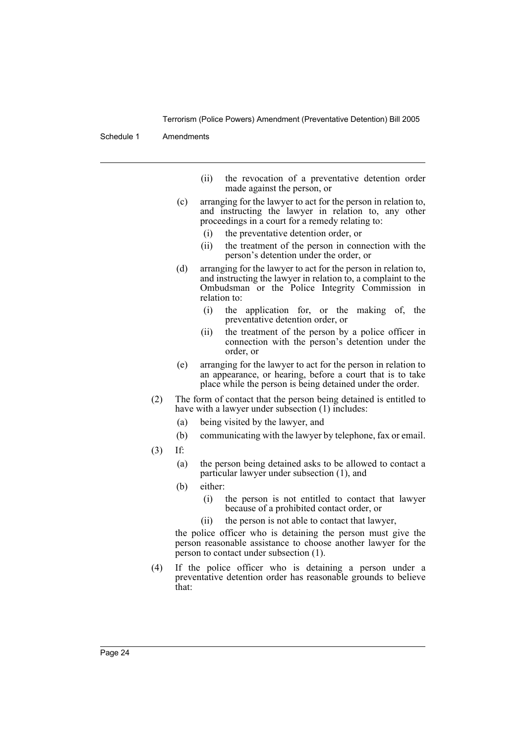Schedule 1 Amendments

- (ii) the revocation of a preventative detention order made against the person, or
- (c) arranging for the lawyer to act for the person in relation to, and instructing the lawyer in relation to, any other proceedings in a court for a remedy relating to:
	- (i) the preventative detention order, or
	- (ii) the treatment of the person in connection with the person's detention under the order, or
- (d) arranging for the lawyer to act for the person in relation to, and instructing the lawyer in relation to, a complaint to the Ombudsman or the Police Integrity Commission in relation to:
	- (i) the application for, or the making of, the preventative detention order, or
	- (ii) the treatment of the person by a police officer in connection with the person's detention under the order, or
- (e) arranging for the lawyer to act for the person in relation to an appearance, or hearing, before a court that is to take place while the person is being detained under the order.
- (2) The form of contact that the person being detained is entitled to have with a lawyer under subsection (1) includes:
	- (a) being visited by the lawyer, and
	- (b) communicating with the lawyer by telephone, fax or email.
- (3) If:
	- (a) the person being detained asks to be allowed to contact a particular lawyer under subsection (1), and
	- (b) either:
		- (i) the person is not entitled to contact that lawyer because of a prohibited contact order, or
		- (ii) the person is not able to contact that lawyer,

the police officer who is detaining the person must give the person reasonable assistance to choose another lawyer for the person to contact under subsection (1).

(4) If the police officer who is detaining a person under a preventative detention order has reasonable grounds to believe that: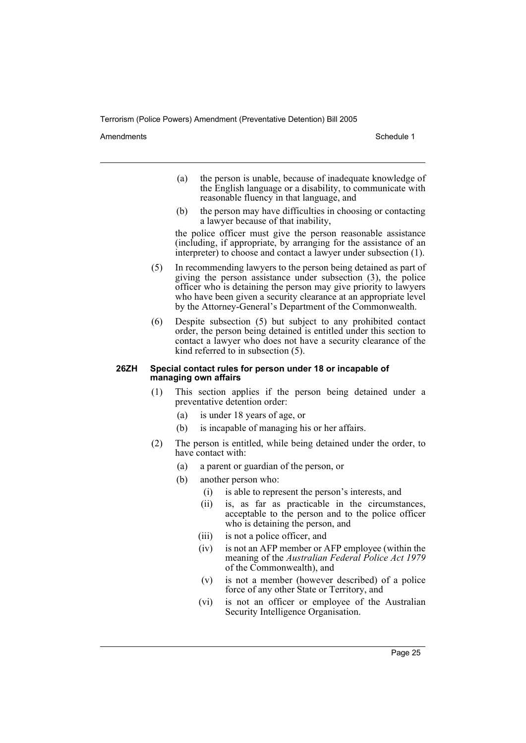Amendments **Amendments** Schedule 1

- (a) the person is unable, because of inadequate knowledge of the English language or a disability, to communicate with reasonable fluency in that language, and
- (b) the person may have difficulties in choosing or contacting a lawyer because of that inability,

the police officer must give the person reasonable assistance (including, if appropriate, by arranging for the assistance of an interpreter) to choose and contact a lawyer under subsection (1).

- (5) In recommending lawyers to the person being detained as part of giving the person assistance under subsection (3), the police officer who is detaining the person may give priority to lawyers who have been given a security clearance at an appropriate level by the Attorney-General's Department of the Commonwealth.
- (6) Despite subsection (5) but subject to any prohibited contact order, the person being detained is entitled under this section to contact a lawyer who does not have a security clearance of the kind referred to in subsection (5).

#### **26ZH Special contact rules for person under 18 or incapable of managing own affairs**

- (1) This section applies if the person being detained under a preventative detention order:
	- (a) is under 18 years of age, or
	- (b) is incapable of managing his or her affairs.
- (2) The person is entitled, while being detained under the order, to have contact with:
	- (a) a parent or guardian of the person, or
	- (b) another person who:
		- (i) is able to represent the person's interests, and
		- (ii) is, as far as practicable in the circumstances, acceptable to the person and to the police officer who is detaining the person, and
		- (iii) is not a police officer, and
		- (iv) is not an AFP member or AFP employee (within the meaning of the *Australian Federal Police Act 1979* of the Commonwealth), and
		- (v) is not a member (however described) of a police force of any other State or Territory, and
		- (vi) is not an officer or employee of the Australian Security Intelligence Organisation.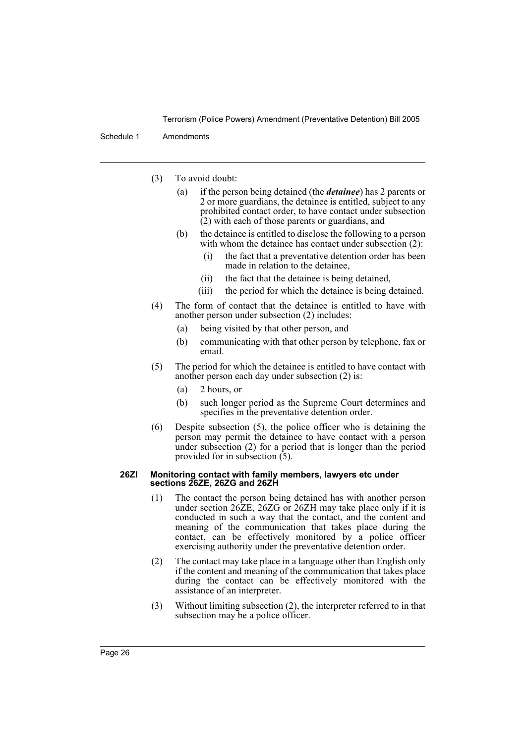Schedule 1 Amendments

- (3) To avoid doubt:
	- (a) if the person being detained (the *detainee*) has 2 parents or 2 or more guardians, the detainee is entitled, subject to any prohibited contact order, to have contact under subsection (2) with each of those parents or guardians, and
	- (b) the detainee is entitled to disclose the following to a person with whom the detainee has contact under subsection (2):
		- (i) the fact that a preventative detention order has been made in relation to the detainee,
		- (ii) the fact that the detainee is being detained,
		- (iii) the period for which the detainee is being detained.
- (4) The form of contact that the detainee is entitled to have with another person under subsection (2) includes:
	- (a) being visited by that other person, and
	- (b) communicating with that other person by telephone, fax or email.
- (5) The period for which the detainee is entitled to have contact with another person each day under subsection (2) is:
	- (a) 2 hours, or
	- (b) such longer period as the Supreme Court determines and specifies in the preventative detention order.
- (6) Despite subsection (5), the police officer who is detaining the person may permit the detainee to have contact with a person under subsection (2) for a period that is longer than the period provided for in subsection (5).

#### **26ZI Monitoring contact with family members, lawyers etc under sections 26ZE, 26ZG and 26ZH**

- (1) The contact the person being detained has with another person under section 26ZE, 26ZG or 26ZH may take place only if it is conducted in such a way that the contact, and the content and meaning of the communication that takes place during the contact, can be effectively monitored by a police officer exercising authority under the preventative detention order.
- (2) The contact may take place in a language other than English only if the content and meaning of the communication that takes place during the contact can be effectively monitored with the assistance of an interpreter.
- (3) Without limiting subsection (2), the interpreter referred to in that subsection may be a police officer.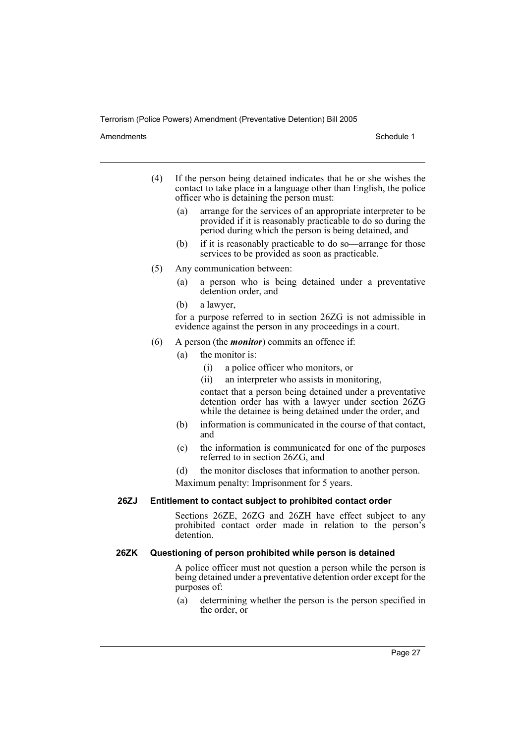#### Amendments **Amendments** Schedule 1

- (4) If the person being detained indicates that he or she wishes the contact to take place in a language other than English, the police officer who is detaining the person must:
	- (a) arrange for the services of an appropriate interpreter to be provided if it is reasonably practicable to do so during the period during which the person is being detained, and
	- (b) if it is reasonably practicable to do so—arrange for those services to be provided as soon as practicable.
- (5) Any communication between:
	- (a) a person who is being detained under a preventative detention order, and
	- (b) a lawyer,

for a purpose referred to in section 26ZG is not admissible in evidence against the person in any proceedings in a court.

- (6) A person (the *monitor*) commits an offence if:
	- (a) the monitor is:
		- (i) a police officer who monitors, or
		- (ii) an interpreter who assists in monitoring,

contact that a person being detained under a preventative detention order has with a lawyer under section 26ZG while the detainee is being detained under the order, and

- (b) information is communicated in the course of that contact, and
- (c) the information is communicated for one of the purposes referred to in section 26ZG, and
- (d) the monitor discloses that information to another person.

Maximum penalty: Imprisonment for 5 years.

## **26ZJ Entitlement to contact subject to prohibited contact order**

Sections 26ZE, 26ZG and 26ZH have effect subject to any prohibited contact order made in relation to the person's detention.

#### **26ZK Questioning of person prohibited while person is detained**

A police officer must not question a person while the person is being detained under a preventative detention order except for the purposes of:

(a) determining whether the person is the person specified in the order, or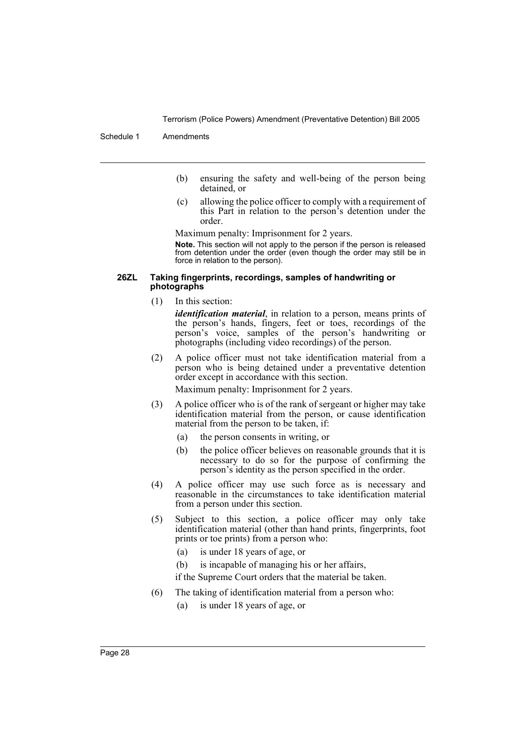Schedule 1 Amendments

- (b) ensuring the safety and well-being of the person being detained, or
- (c) allowing the police officer to comply with a requirement of this Part in relation to the person's detention under the order.

Maximum penalty: Imprisonment for 2 years.

**Note.** This section will not apply to the person if the person is released from detention under the order (even though the order may still be in force in relation to the person).

#### **26ZL Taking fingerprints, recordings, samples of handwriting or photographs**

(1) In this section:

*identification material*, in relation to a person, means prints of the person's hands, fingers, feet or toes, recordings of the person's voice, samples of the person's handwriting or photographs (including video recordings) of the person.

(2) A police officer must not take identification material from a person who is being detained under a preventative detention order except in accordance with this section.

Maximum penalty: Imprisonment for 2 years.

- (3) A police officer who is of the rank of sergeant or higher may take identification material from the person, or cause identification material from the person to be taken, if:
	- (a) the person consents in writing, or
	- (b) the police officer believes on reasonable grounds that it is necessary to do so for the purpose of confirming the person's identity as the person specified in the order.
- (4) A police officer may use such force as is necessary and reasonable in the circumstances to take identification material from a person under this section.
- (5) Subject to this section, a police officer may only take identification material (other than hand prints, fingerprints, foot prints or toe prints) from a person who:
	- (a) is under 18 years of age, or
	- (b) is incapable of managing his or her affairs,

if the Supreme Court orders that the material be taken.

- (6) The taking of identification material from a person who:
	- (a) is under 18 years of age, or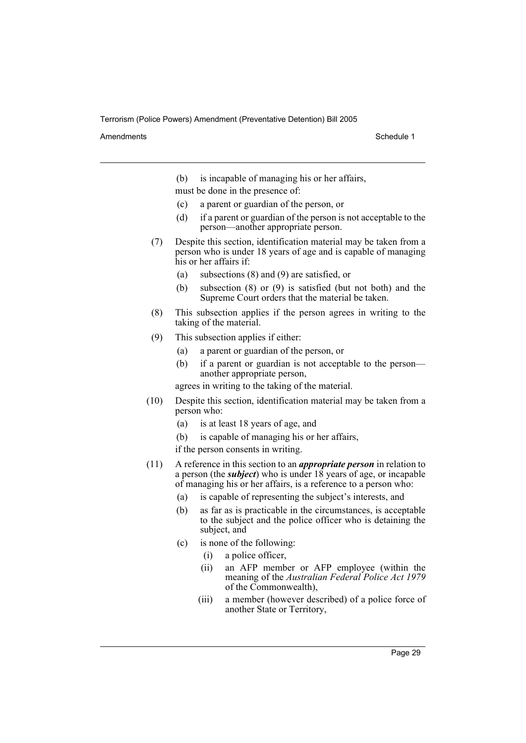Amendments **Amendments** Schedule 1

(b) is incapable of managing his or her affairs,

must be done in the presence of:

- (c) a parent or guardian of the person, or
- (d) if a parent or guardian of the person is not acceptable to the person—another appropriate person.
- (7) Despite this section, identification material may be taken from a person who is under 18 years of age and is capable of managing his or her affairs if:
	- (a) subsections (8) and (9) are satisfied, or
	- (b) subsection (8) or (9) is satisfied (but not both) and the Supreme Court orders that the material be taken.
- (8) This subsection applies if the person agrees in writing to the taking of the material.
- (9) This subsection applies if either:
	- (a) a parent or guardian of the person, or
	- (b) if a parent or guardian is not acceptable to the person another appropriate person,

agrees in writing to the taking of the material.

- (10) Despite this section, identification material may be taken from a person who:
	- (a) is at least 18 years of age, and
	- (b) is capable of managing his or her affairs,

if the person consents in writing.

- (11) A reference in this section to an *appropriate person* in relation to a person (the *subject*) who is under 18 years of age, or incapable of managing his or her affairs, is a reference to a person who:
	- (a) is capable of representing the subject's interests, and
	- (b) as far as is practicable in the circumstances, is acceptable to the subject and the police officer who is detaining the subject, and
	- (c) is none of the following:
		- (i) a police officer,
		- (ii) an AFP member or AFP employee (within the meaning of the *Australian Federal Police Act 1979* of the Commonwealth),
		- (iii) a member (however described) of a police force of another State or Territory,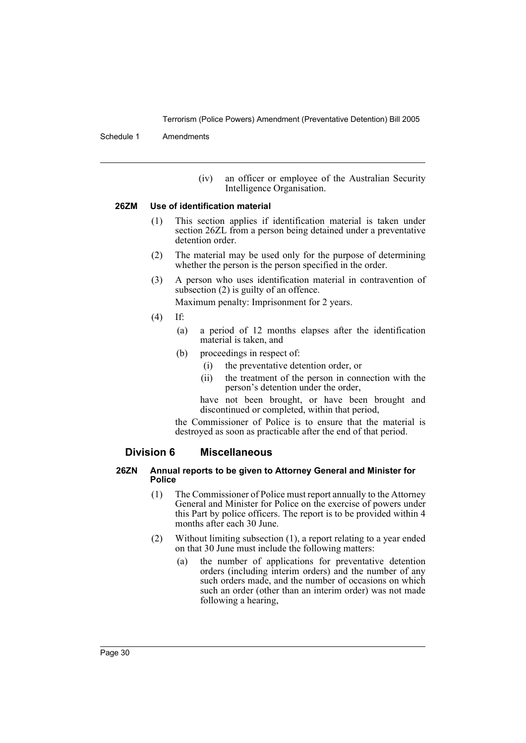Schedule 1 Amendments

(iv) an officer or employee of the Australian Security Intelligence Organisation.

#### **26ZM Use of identification material**

- (1) This section applies if identification material is taken under section 26ZL from a person being detained under a preventative detention order.
- (2) The material may be used only for the purpose of determining whether the person is the person specified in the order.
- (3) A person who uses identification material in contravention of subsection (2) is guilty of an offence. Maximum penalty: Imprisonment for 2 years.
- (4) If:
	- (a) a period of 12 months elapses after the identification material is taken, and
	- (b) proceedings in respect of:
		- (i) the preventative detention order, or
		- (ii) the treatment of the person in connection with the person's detention under the order,

have not been brought, or have been brought and discontinued or completed, within that period,

the Commissioner of Police is to ensure that the material is destroyed as soon as practicable after the end of that period.

## **Division 6 Miscellaneous**

#### **26ZN Annual reports to be given to Attorney General and Minister for Police**

- (1) The Commissioner of Police must report annually to the Attorney General and Minister for Police on the exercise of powers under this Part by police officers. The report is to be provided within 4 months after each 30 June.
- (2) Without limiting subsection (1), a report relating to a year ended on that 30 June must include the following matters:
	- (a) the number of applications for preventative detention orders (including interim orders) and the number of any such orders made, and the number of occasions on which such an order (other than an interim order) was not made following a hearing,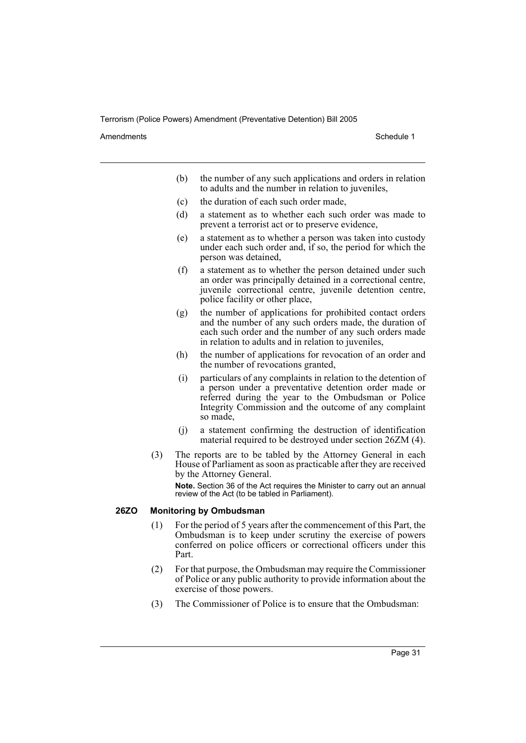Amendments **Amendments** Schedule 1

- (b) the number of any such applications and orders in relation to adults and the number in relation to juveniles,
- (c) the duration of each such order made,
- (d) a statement as to whether each such order was made to prevent a terrorist act or to preserve evidence,
- (e) a statement as to whether a person was taken into custody under each such order and, if so, the period for which the person was detained,
- (f) a statement as to whether the person detained under such an order was principally detained in a correctional centre, juvenile correctional centre, juvenile detention centre, police facility or other place,
- (g) the number of applications for prohibited contact orders and the number of any such orders made, the duration of each such order and the number of any such orders made in relation to adults and in relation to juveniles,
- (h) the number of applications for revocation of an order and the number of revocations granted,
- (i) particulars of any complaints in relation to the detention of a person under a preventative detention order made or referred during the year to the Ombudsman or Police Integrity Commission and the outcome of any complaint so made,
- (j) a statement confirming the destruction of identification material required to be destroyed under section 26ZM (4).
- (3) The reports are to be tabled by the Attorney General in each House of Parliament as soon as practicable after they are received by the Attorney General.

**Note.** Section 36 of the Act requires the Minister to carry out an annual review of the Act (to be tabled in Parliament).

### **26ZO Monitoring by Ombudsman**

- (1) For the period of 5 years after the commencement of this Part, the Ombudsman is to keep under scrutiny the exercise of powers conferred on police officers or correctional officers under this Part.
- (2) For that purpose, the Ombudsman may require the Commissioner of Police or any public authority to provide information about the exercise of those powers.
- (3) The Commissioner of Police is to ensure that the Ombudsman: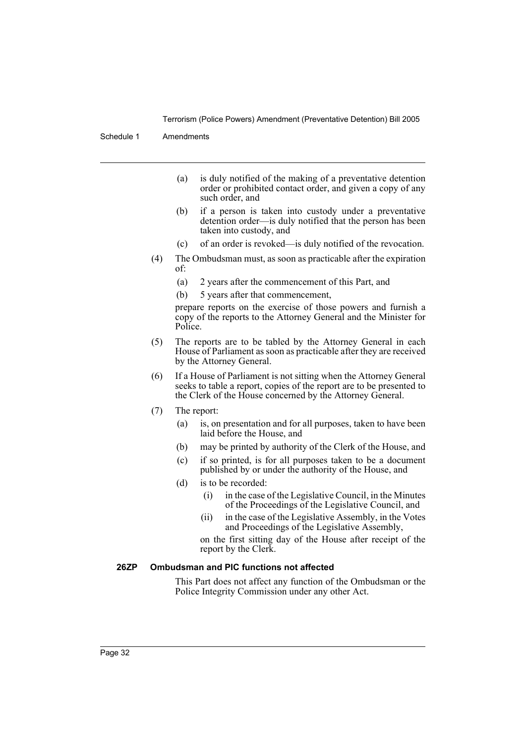Schedule 1 Amendments

- (a) is duly notified of the making of a preventative detention order or prohibited contact order, and given a copy of any such order, and
- (b) if a person is taken into custody under a preventative detention order—is duly notified that the person has been taken into custody, and
- (c) of an order is revoked—is duly notified of the revocation.
- (4) The Ombudsman must, as soon as practicable after the expiration of:
	- (a) 2 years after the commencement of this Part, and
	- (b) 5 years after that commencement,

prepare reports on the exercise of those powers and furnish a copy of the reports to the Attorney General and the Minister for Police.

- (5) The reports are to be tabled by the Attorney General in each House of Parliament as soon as practicable after they are received by the Attorney General.
- (6) If a House of Parliament is not sitting when the Attorney General seeks to table a report, copies of the report are to be presented to the Clerk of the House concerned by the Attorney General.
- (7) The report:
	- (a) is, on presentation and for all purposes, taken to have been laid before the House, and
	- (b) may be printed by authority of the Clerk of the House, and
	- (c) if so printed, is for all purposes taken to be a document published by or under the authority of the House, and
	- (d) is to be recorded:
		- (i) in the case of the Legislative Council, in the Minutes of the Proceedings of the Legislative Council, and
		- (ii) in the case of the Legislative Assembly, in the Votes and Proceedings of the Legislative Assembly,

on the first sitting day of the House after receipt of the report by the Clerk.

### **26ZP Ombudsman and PIC functions not affected**

This Part does not affect any function of the Ombudsman or the Police Integrity Commission under any other Act.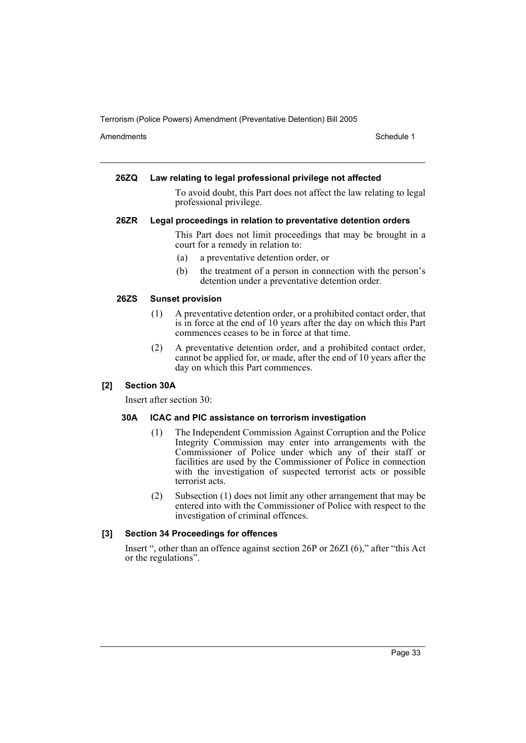Amendments **Amendments** Schedule 1

#### **26ZQ Law relating to legal professional privilege not affected**

To avoid doubt, this Part does not affect the law relating to legal professional privilege.

#### **26ZR Legal proceedings in relation to preventative detention orders**

This Part does not limit proceedings that may be brought in a court for a remedy in relation to:

- (a) a preventative detention order, or
- (b) the treatment of a person in connection with the person's detention under a preventative detention order.

## **26ZS Sunset provision**

- (1) A preventative detention order, or a prohibited contact order, that is in force at the end of 10 years after the day on which this Part commences ceases to be in force at that time.
- (2) A preventative detention order, and a prohibited contact order, cannot be applied for, or made, after the end of 10 years after the day on which this Part commences.

## **[2] Section 30A**

Insert after section 30:

## **30A ICAC and PIC assistance on terrorism investigation**

- (1) The Independent Commission Against Corruption and the Police Integrity Commission may enter into arrangements with the Commissioner of Police under which any of their staff or facilities are used by the Commissioner of Police in connection with the investigation of suspected terrorist acts or possible terrorist acts.
- (2) Subsection (1) does not limit any other arrangement that may be entered into with the Commissioner of Police with respect to the investigation of criminal offences.

## **[3] Section 34 Proceedings for offences**

Insert ", other than an offence against section 26P or 26ZI (6)," after "this Act or the regulations".